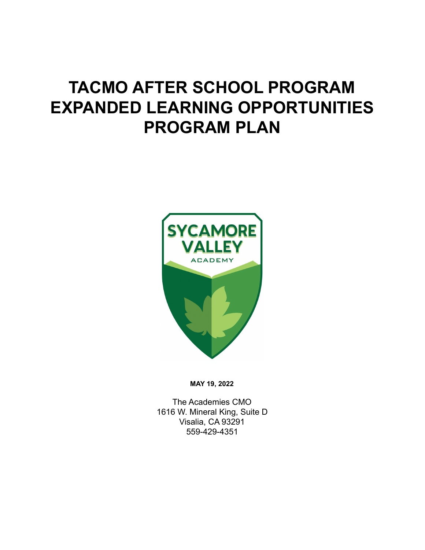# **TACMO AFTER SCHOOL PROGRAM EXPANDED LEARNING OPPORTUNITIES PROGRAM PLAN**



**MAY 19, 2022**

The Academies CMO 1616 W. Mineral King, Suite D Visalia, CA 93291 559-429-4351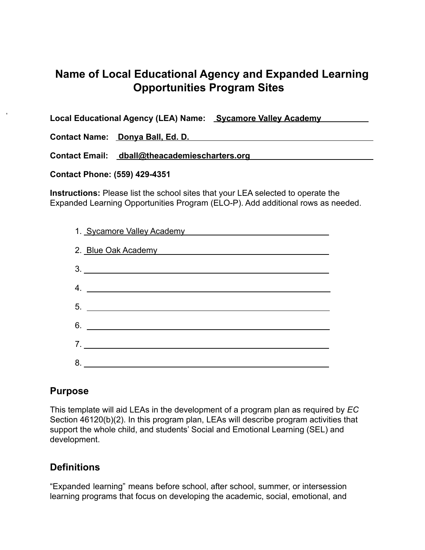# **Name of Local Educational Agency and Expanded Learning Opportunities Program Sites**

**Local Educational Agency (LEA) Name: Sycamore Valley Academy Contact Name: Donya Ball, Ed. D.**

**Contact Email: dball@theacademiescharters.org**

**Contact Phone: (559) 429-4351**

**Instructions:** Please list the school sites that your LEA selected to operate the Expanded Learning Opportunities Program (ELO-P). Add additional rows as needed.

| 1. Sycamore Valley Academy<br><u> London Communica</u> |
|--------------------------------------------------------|
| 2. Blue Oak Academy                                    |
|                                                        |
|                                                        |
|                                                        |
|                                                        |
| 7.                                                     |
|                                                        |

# **Purpose**

This template will aid LEAs in the development of a program plan as required by *EC* Section 46120(b)(2). In this program plan, LEAs will describe program activities that support the whole child, and students' Social and Emotional Learning (SEL) and development.

# **Definitions**

"Expanded learning" means before school, after school, summer, or intersession learning programs that focus on developing the academic, social, emotional, and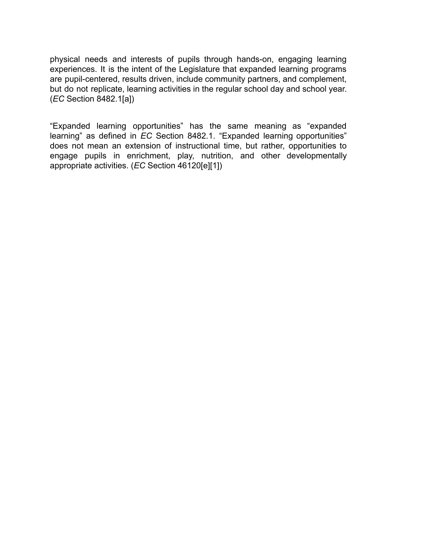physical needs and interests of pupils through hands-on, engaging learning experiences. It is the intent of the Legislature that expanded learning programs are pupil-centered, results driven, include community partners, and complement, but do not replicate, learning activities in the regular school day and school year. (*EC* Section 8482.1[a])

"Expanded learning opportunities" has the same meaning as "expanded learning" as defined in *EC* Section 8482.1. "Expanded learning opportunities" does not mean an extension of instructional time, but rather, opportunities to engage pupils in enrichment, play, nutrition, and other developmentally appropriate activities. (*EC* Section 46120[e][1])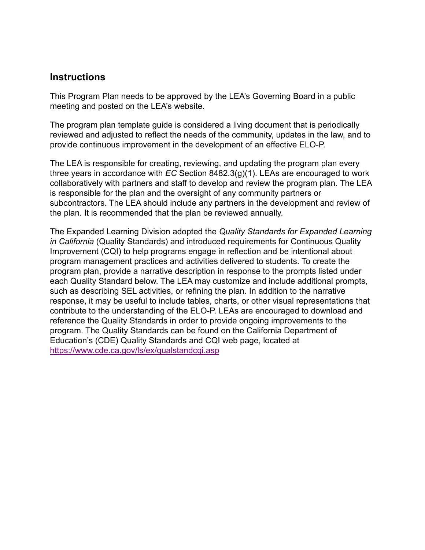# **Instructions**

This Program Plan needs to be approved by the LEA's Governing Board in a public meeting and posted on the LEA's website.

The program plan template guide is considered a living document that is periodically reviewed and adjusted to reflect the needs of the community, updates in the law, and to provide continuous improvement in the development of an effective ELO-P.

The LEA is responsible for creating, reviewing, and updating the program plan every three years in accordance with *EC* Section 8482.3(g)(1). LEAs are encouraged to work collaboratively with partners and staff to develop and review the program plan. The LEA is responsible for the plan and the oversight of any community partners or subcontractors. The LEA should include any partners in the development and review of the plan. It is recommended that the plan be reviewed annually.

The Expanded Learning Division adopted the *Quality Standards for Expanded Learning in California* (Quality Standards) and introduced requirements for Continuous Quality Improvement (CQI) to help programs engage in reflection and be intentional about program management practices and activities delivered to students. To create the program plan, provide a narrative description in response to the prompts listed under each Quality Standard below. The LEA may customize and include additional prompts, such as describing SEL activities, or refining the plan. In addition to the narrative response, it may be useful to include tables, charts, or other visual representations that contribute to the understanding of the ELO-P. LEAs are encouraged to download and reference the Quality Standards in order to provide ongoing improvements to the program. The Quality Standards can be found on the California Department of Education's (CDE) Quality Standards and CQI web page, located at <https://www.cde.ca.gov/ls/ex/qualstandcqi.asp>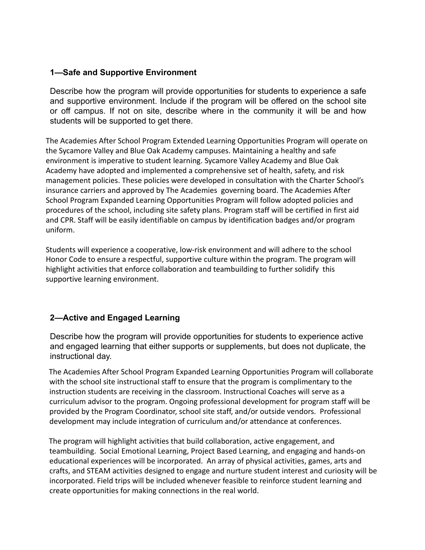#### **1—Safe and Supportive Environment**

Describe how the program will provide opportunities for students to experience a safe and supportive environment. Include if the program will be offered on the school site or off campus. If not on site, describe where in the community it will be and how students will be supported to get there.

The Academies After School Program Extended Learning Opportunities Program will operate on the Sycamore Valley and Blue Oak Academy campuses. Maintaining a healthy and safe environment is imperative to student learning. Sycamore Valley Academy and Blue Oak Academy have adopted and implemented a comprehensive set of health, safety, and risk management policies. These policies were developed in consultation with the Charter School's insurance carriers and approved by The Academies governing board. The Academies After School Program Expanded Learning Opportunities Program will follow adopted policies and procedures of the school, including site safety plans. Program staff will be certified in first aid and CPR. Staff will be easily identifiable on campus by identification badges and/or program uniform.

Students will experience a cooperative, low-risk environment and will adhere to the school Honor Code to ensure a respectful, supportive culture within the program. The program will highlight activities that enforce collaboration and teambuilding to further solidify this supportive learning environment.

# **2—Active and Engaged Learning**

Describe how the program will provide opportunities for students to experience active and engaged learning that either supports or supplements, but does not duplicate, the instructional day.

The Academies After School Program Expanded Learning Opportunities Program will collaborate with the school site instructional staff to ensure that the program is complimentary to the instruction students are receiving in the classroom. Instructional Coaches will serve as a curriculum advisor to the program. Ongoing professional development for program staff will be provided by the Program Coordinator, school site staff, and/or outside vendors. Professional development may include integration of curriculum and/or attendance at conferences.

The program will highlight activities that build collaboration, active engagement, and teambuilding. Social Emotional Learning, Project Based Learning, and engaging and hands-on educational experiences will be incorporated. An array of physical activities, games, arts and crafts, and STEAM activities designed to engage and nurture student interest and curiosity will be incorporated. Field trips will be included whenever feasible to reinforce student learning and create opportunities for making connections in the real world.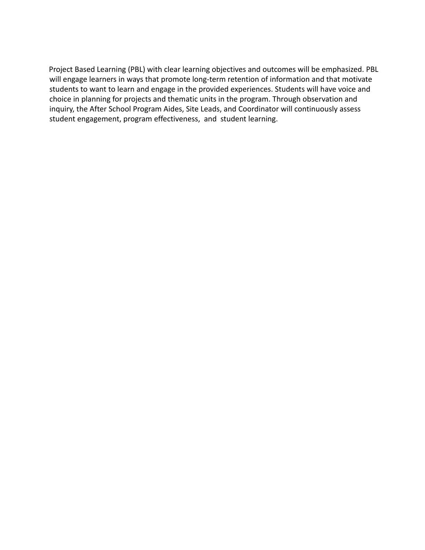Project Based Learning (PBL) with clear learning objectives and outcomes will be emphasized. PBL will engage learners in ways that promote long-term retention of information and that motivate students to want to learn and engage in the provided experiences. Students will have voice and choice in planning for projects and thematic units in the program. Through observation and inquiry, the After School Program Aides, Site Leads, and Coordinator will continuously assess student engagement, program effectiveness, and student learning.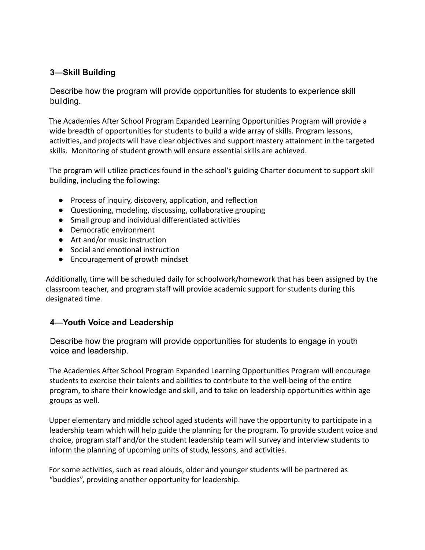# **3—Skill Building**

Describe how the program will provide opportunities for students to experience skill building.

The Academies After School Program Expanded Learning Opportunities Program will provide a wide breadth of opportunities for students to build a wide array of skills. Program lessons, activities, and projects will have clear objectives and support mastery attainment in the targeted skills. Monitoring of student growth will ensure essential skills are achieved.

The program will utilize practices found in the school's guiding Charter document to support skill building, including the following:

- Process of inquiry, discovery, application, and reflection
- Questioning, modeling, discussing, collaborative grouping
- Small group and individual differentiated activities
- Democratic environment
- Art and/or music instruction
- Social and emotional instruction
- Encouragement of growth mindset

Additionally, time will be scheduled daily for schoolwork/homework that has been assigned by the classroom teacher, and program staff will provide academic support for students during this designated time.

# **4—Youth Voice and Leadership**

Describe how the program will provide opportunities for students to engage in youth voice and leadership.

The Academies After School Program Expanded Learning Opportunities Program will encourage students to exercise their talents and abilities to contribute to the well-being of the entire program, to share their knowledge and skill, and to take on leadership opportunities within age groups as well.

Upper elementary and middle school aged students will have the opportunity to participate in a leadership team which will help guide the planning for the program. To provide student voice and choice, program staff and/or the student leadership team will survey and interview students to inform the planning of upcoming units of study, lessons, and activities.

For some activities, such as read alouds, older and younger students will be partnered as "buddies", providing another opportunity for leadership.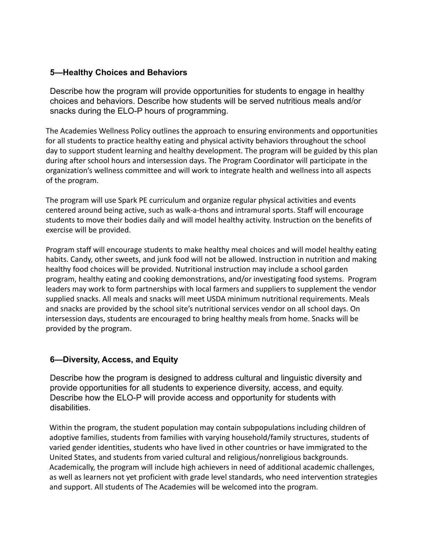#### **5—Healthy Choices and Behaviors**

Describe how the program will provide opportunities for students to engage in healthy choices and behaviors. Describe how students will be served nutritious meals and/or snacks during the ELO-P hours of programming.

The Academies Wellness Policy outlines the approach to ensuring environments and opportunities for all students to practice healthy eating and physical activity behaviors throughout the school day to support student learning and healthy development. The program will be guided by this plan during after school hours and intersession days. The Program Coordinator will participate in the organization's wellness committee and will work to integrate health and wellness into all aspects of the program.

The program will use Spark PE curriculum and organize regular physical activities and events centered around being active, such as walk-a-thons and intramural sports. Staff will encourage students to move their bodies daily and will model healthy activity. Instruction on the benefits of exercise will be provided.

Program staff will encourage students to make healthy meal choices and will model healthy eating habits. Candy, other sweets, and junk food will not be allowed. Instruction in nutrition and making healthy food choices will be provided. Nutritional instruction may include a school garden program, healthy eating and cooking demonstrations, and/or investigating food systems. Program leaders may work to form partnerships with local farmers and suppliers to supplement the vendor supplied snacks. All meals and snacks will meet USDA minimum nutritional requirements. Meals and snacks are provided by the school site's nutritional services vendor on all school days. On intersession days, students are encouraged to bring healthy meals from home. Snacks will be provided by the program.

# **6—Diversity, Access, and Equity**

Describe how the program is designed to address cultural and linguistic diversity and provide opportunities for all students to experience diversity, access, and equity. Describe how the ELO-P will provide access and opportunity for students with disabilities.

Within the program, the student population may contain subpopulations including children of adoptive families, students from families with varying household/family structures, students of varied gender identities, students who have lived in other countries or have immigrated to the United States, and students from varied cultural and religious/nonreligious backgrounds. Academically, the program will include high achievers in need of additional academic challenges, as well as learners not yet proficient with grade level standards, who need intervention strategies and support. All students of The Academies will be welcomed into the program.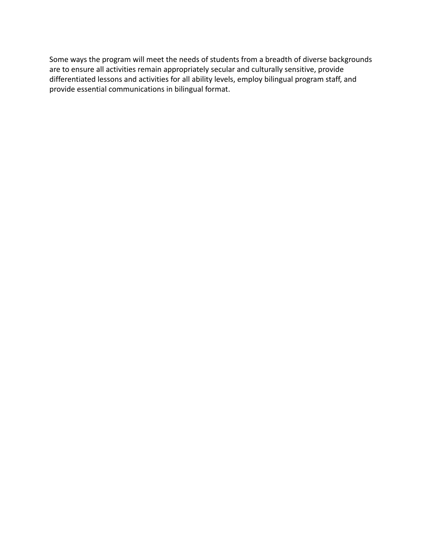Some ways the program will meet the needs of students from a breadth of diverse backgrounds are to ensure all activities remain appropriately secular and culturally sensitive, provide differentiated lessons and activities for all ability levels, employ bilingual program staff, and provide essential communications in bilingual format.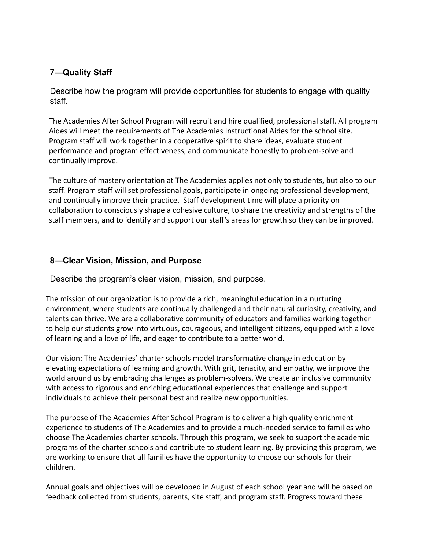# **7—Quality Staff**

Describe how the program will provide opportunities for students to engage with quality staff.

The Academies After School Program will recruit and hire qualified, professional staff. All program Aides will meet the requirements of The Academies Instructional Aides for the school site. Program staff will work together in a cooperative spirit to share ideas, evaluate student performance and program effectiveness, and communicate honestly to problem-solve and continually improve.

The culture of mastery orientation at The Academies applies not only to students, but also to our staff. Program staff will set professional goals, participate in ongoing professional development, and continually improve their practice. Staff development time will place a priority on collaboration to consciously shape a cohesive culture, to share the creativity and strengths of the staff members, and to identify and support our staff's areas for growth so they can be improved.

# **8—Clear Vision, Mission, and Purpose**

Describe the program's clear vision, mission, and purpose.

The mission of our organization is to provide a rich, meaningful education in a nurturing environment, where students are continually challenged and their natural curiosity, creativity, and talents can thrive. We are a collaborative community of educators and families working together to help our students grow into virtuous, courageous, and intelligent citizens, equipped with a love of learning and a love of life, and eager to contribute to a better world.

Our vision: The Academies' charter schools model transformative change in education by elevating expectations of learning and growth. With grit, tenacity, and empathy, we improve the world around us by embracing challenges as problem-solvers. We create an inclusive community with access to rigorous and enriching educational experiences that challenge and support individuals to achieve their personal best and realize new opportunities.

The purpose of The Academies After School Program is to deliver a high quality enrichment experience to students of The Academies and to provide a much-needed service to families who choose The Academies charter schools. Through this program, we seek to support the academic programs of the charter schools and contribute to student learning. By providing this program, we are working to ensure that all families have the opportunity to choose our schools for their children.

Annual goals and objectives will be developed in August of each school year and will be based on feedback collected from students, parents, site staff, and program staff. Progress toward these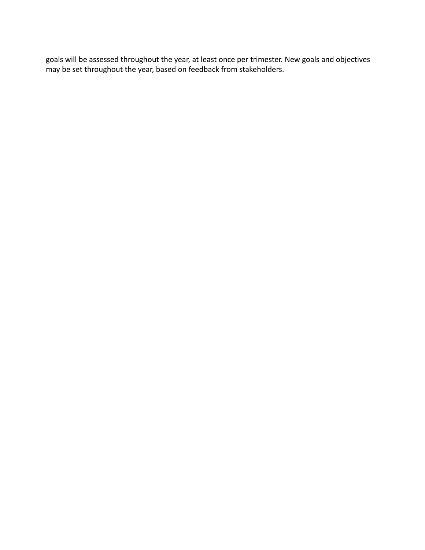goals will be assessed throughout the year, at least once per trimester. New goals and objectives may be set throughout the year, based on feedback from stakeholders.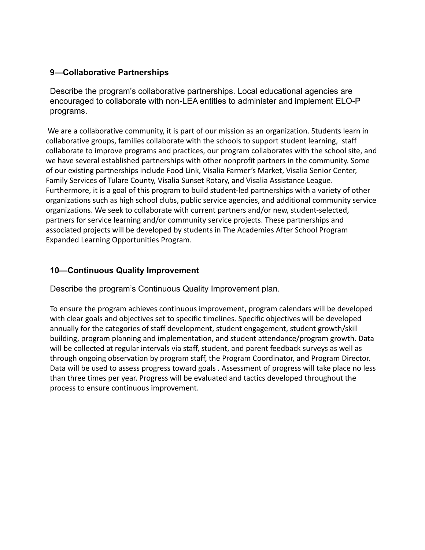# **9—Collaborative Partnerships**

Describe the program's collaborative partnerships. Local educational agencies are encouraged to collaborate with non-LEA entities to administer and implement ELO-P programs.

We are a collaborative community, it is part of our mission as an organization. Students learn in collaborative groups, families collaborate with the schools to support student learning, staff collaborate to improve programs and practices, our program collaborates with the school site, and we have several established partnerships with other nonprofit partners in the community. Some of our existing partnerships include Food Link, Visalia Farmer's Market, Visalia Senior Center, Family Services of Tulare County, Visalia Sunset Rotary, and Visalia Assistance League. Furthermore, it is a goal of this program to build student-led partnerships with a variety of other organizations such as high school clubs, public service agencies, and additional community service organizations. We seek to collaborate with current partners and/or new, student-selected, partners for service learning and/or community service projects. These partnerships and associated projects will be developed by students in The Academies After School Program Expanded Learning Opportunities Program.

#### **10—Continuous Quality Improvement**

Describe the program's Continuous Quality Improvement plan.

To ensure the program achieves continuous improvement, program calendars will be developed with clear goals and objectives set to specific timelines. Specific objectives will be developed annually for the categories of staff development, student engagement, student growth/skill building, program planning and implementation, and student attendance/program growth. Data will be collected at regular intervals via staff, student, and parent feedback surveys as well as through ongoing observation by program staff, the Program Coordinator, and Program Director. Data will be used to assess progress toward goals . Assessment of progress will take place no less than three times per year. Progress will be evaluated and tactics developed throughout the process to ensure continuous improvement.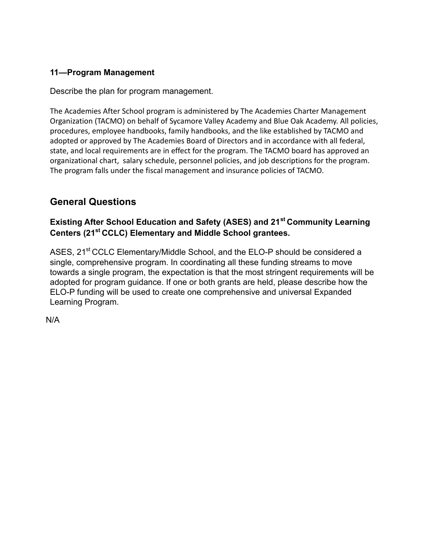# **11—Program Management**

Describe the plan for program management.

The Academies After School program is administered by The Academies Charter Management Organization (TACMO) on behalf of Sycamore Valley Academy and Blue Oak Academy. All policies, procedures, employee handbooks, family handbooks, and the like established by TACMO and adopted or approved by The Academies Board of Directors and in accordance with all federal, state, and local requirements are in effect for the program. The TACMO board has approved an organizational chart, salary schedule, personnel policies, and job descriptions for the program. The program falls under the fiscal management and insurance policies of TACMO.

# **General Questions**

# **Existing After School Education and Safety (ASES) and 21st Community Learning Centers (21st CCLC) Elementary and Middle School grantees.**

ASES, 21<sup>st</sup> CCLC Elementary/Middle School, and the ELO-P should be considered a single, comprehensive program. In coordinating all these funding streams to move towards a single program, the expectation is that the most stringent requirements will be adopted for program guidance. If one or both grants are held, please describe how the ELO-P funding will be used to create one comprehensive and universal Expanded Learning Program.

N/A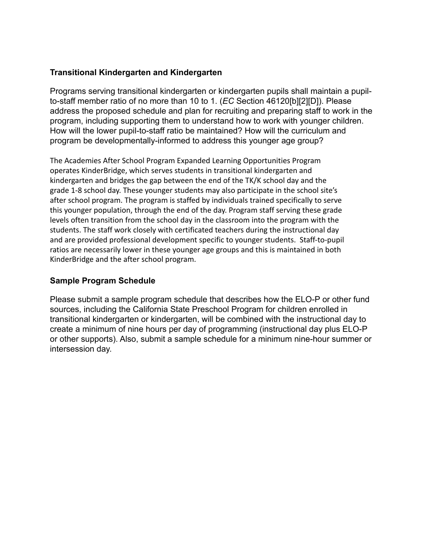#### **Transitional Kindergarten and Kindergarten**

Programs serving transitional kindergarten or kindergarten pupils shall maintain a pupilto-staff member ratio of no more than 10 to 1. (*EC* Section 46120[b][2][D]). Please address the proposed schedule and plan for recruiting and preparing staff to work in the program, including supporting them to understand how to work with younger children. How will the lower pupil-to-staff ratio be maintained? How will the curriculum and program be developmentally-informed to address this younger age group?

The Academies After School Program Expanded Learning Opportunities Program operates KinderBridge, which serves students in transitional kindergarten and kindergarten and bridges the gap between the end of the TK/K school day and the grade 1-8 school day. These younger students may also participate in the school site's after school program. The program is staffed by individuals trained specifically to serve this younger population, through the end of the day. Program staff serving these grade levels often transition from the school day in the classroom into the program with the students. The staff work closely with certificated teachers during the instructional day and are provided professional development specific to younger students. Staff-to-pupil ratios are necessarily lower in these younger age groups and this is maintained in both KinderBridge and the after school program.

# **Sample Program Schedule**

Please submit a sample program schedule that describes how the ELO-P or other fund sources, including the California State Preschool Program for children enrolled in transitional kindergarten or kindergarten, will be combined with the instructional day to create a minimum of nine hours per day of programming (instructional day plus ELO-P or other supports). Also, submit a sample schedule for a minimum nine-hour summer or intersession day.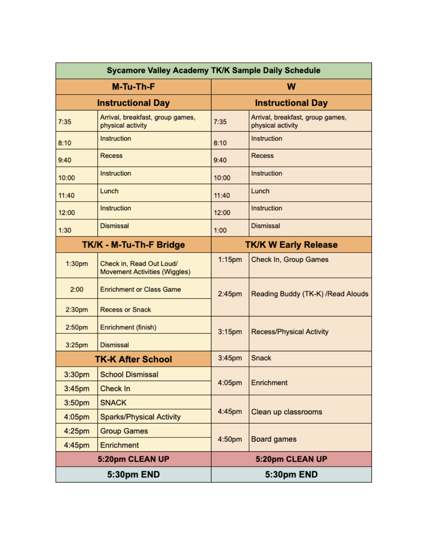| Sycamore Valley Academy TK/K Sample Daily Schedule |                                                           |                          |                                                       |  |  |
|----------------------------------------------------|-----------------------------------------------------------|--------------------------|-------------------------------------------------------|--|--|
|                                                    | M-Tu-Th-F                                                 | W                        |                                                       |  |  |
|                                                    | <b>Instructional Day</b>                                  | <b>Instructional Day</b> |                                                       |  |  |
| 7:35                                               | Arrival, breakfast, group games,<br>physical activity     | 7:35                     | Arrival, breakfast, group games,<br>physical activity |  |  |
| 8:10                                               | Instruction                                               | 8:10                     | Instruction                                           |  |  |
| 9:40                                               | <b>Recess</b>                                             | 9:40                     | <b>Recess</b>                                         |  |  |
| 10:00                                              | Instruction                                               | 10:00                    | Instruction                                           |  |  |
| 11:40                                              | Lunch                                                     | 11:40                    | Lunch                                                 |  |  |
| 12:00                                              | Instruction                                               | 12:00                    | Instruction                                           |  |  |
| 1:30                                               | <b>Dismissal</b>                                          | 1:00                     | <b>Dismissal</b>                                      |  |  |
|                                                    | TK/K - M-Tu-Th-F Bridge                                   |                          | <b>TK/K W Early Release</b>                           |  |  |
| 1:30pm                                             | Check in, Read Out Loud/<br>Movement Activities (Wiggles) | $1:15$ pm                | Check In, Group Games                                 |  |  |
| 2:00                                               | <b>Enrichment or Class Game</b>                           | 2:45pm                   | Reading Buddy (TK-K) / Read Alouds                    |  |  |
| 2:30pm                                             | <b>Recess or Snack</b>                                    |                          |                                                       |  |  |
| 2:50pm                                             | Enrichment (finish)                                       | 3:15 <sub>pm</sub>       | <b>Recess/Physical Activity</b>                       |  |  |
| 3:25pm                                             | <b>Dismissal</b>                                          |                          |                                                       |  |  |
| <b>TK-K After School</b>                           |                                                           | 3:45pm                   | Snack                                                 |  |  |
| 3:30pm                                             | <b>School Dismissal</b>                                   |                          |                                                       |  |  |
| 3:45pm                                             | Check In                                                  | 4:05pm                   | Enrichment                                            |  |  |
| 3:50pm                                             | <b>SNACK</b>                                              |                          |                                                       |  |  |
| 4:05pm                                             | <b>Sparks/Physical Activity</b>                           | 4:45pm                   | Clean up classrooms                                   |  |  |
| 4:25pm                                             | <b>Group Games</b>                                        |                          |                                                       |  |  |
| 4:45pm                                             | Enrichment                                                | 4:50pm                   | Board games                                           |  |  |
|                                                    | 5:20pm CLEAN UP                                           |                          | 5:20pm CLEAN UP                                       |  |  |
|                                                    | 5:30pm END                                                |                          | 5:30pm END                                            |  |  |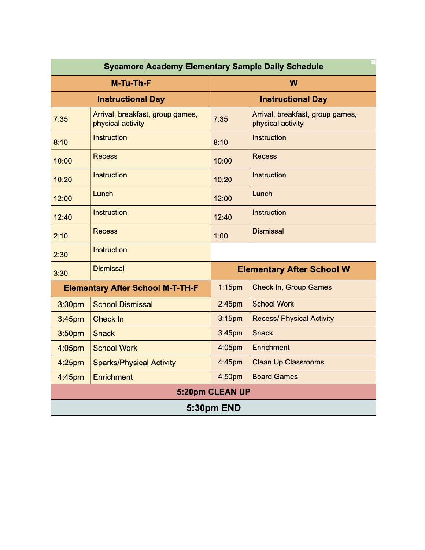| <b>Sycamore Academy Elementary Sample Daily Schedule</b> |                                                       |                                  |                                                       |  |  |  |
|----------------------------------------------------------|-------------------------------------------------------|----------------------------------|-------------------------------------------------------|--|--|--|
|                                                          | M-Tu-Th-F                                             | W                                |                                                       |  |  |  |
|                                                          | <b>Instructional Day</b>                              | <b>Instructional Day</b>         |                                                       |  |  |  |
| 7:35                                                     | Arrival, breakfast, group games,<br>physical activity | 7:35                             | Arrival, breakfast, group games,<br>physical activity |  |  |  |
| 8:10                                                     | <b>Instruction</b>                                    | 8:10                             | Instruction                                           |  |  |  |
| 10:00                                                    | <b>Recess</b>                                         | 10:00                            | <b>Recess</b>                                         |  |  |  |
| 10:20                                                    | Instruction                                           | 10:20                            | Instruction                                           |  |  |  |
| 12:00                                                    | Lunch                                                 | 12:00                            | Lunch                                                 |  |  |  |
| 12:40                                                    | Instruction                                           | 12:40                            | Instruction                                           |  |  |  |
| 2:10                                                     | <b>Recess</b>                                         | 1:00                             | <b>Dismissal</b>                                      |  |  |  |
| 2:30                                                     | Instruction                                           |                                  |                                                       |  |  |  |
| <b>Dismissal</b><br>3:30                                 |                                                       | <b>Elementary After School W</b> |                                                       |  |  |  |
|                                                          | <b>Elementary After School M-T-TH-F</b>               | $1:15$ pm                        | <b>Check In, Group Games</b>                          |  |  |  |
| 3:30pm                                                   | <b>School Dismissal</b>                               | 2:45 <sub>pm</sub>               | <b>School Work</b>                                    |  |  |  |
| 3:45 <sub>pm</sub>                                       | Check In                                              | 3:15 <sub>pm</sub>               | <b>Recess/ Physical Activity</b>                      |  |  |  |
| 3:50 <sub>pm</sub>                                       | <b>Snack</b>                                          | 3:45pm                           | Snack                                                 |  |  |  |
| 4:05pm                                                   | <b>School Work</b>                                    | 4:05pm                           | Enrichment                                            |  |  |  |
| 4:25 <sub>pm</sub>                                       | <b>Sparks/Physical Activity</b>                       | 4:45pm                           | <b>Clean Up Classrooms</b>                            |  |  |  |
| 4:45pm                                                   | Enrichment                                            | 4:50pm                           | <b>Board Games</b>                                    |  |  |  |
| 5:20pm CLEAN UP                                          |                                                       |                                  |                                                       |  |  |  |
| 5:30pm END                                               |                                                       |                                  |                                                       |  |  |  |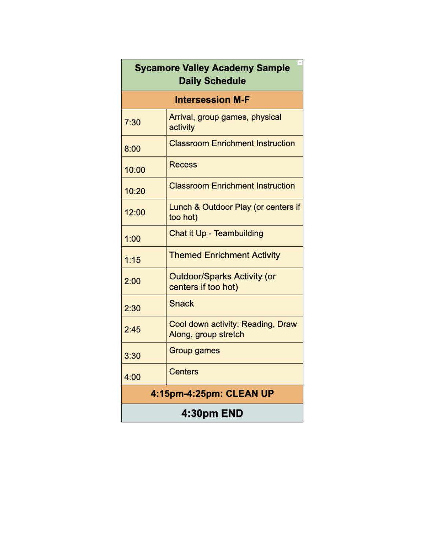| <b>Sycamore Valley Academy Sample</b><br><b>Daily Schedule</b> |                                                           |  |  |  |  |
|----------------------------------------------------------------|-----------------------------------------------------------|--|--|--|--|
| <b>Intersession M-F</b>                                        |                                                           |  |  |  |  |
| 7:30                                                           | Arrival, group games, physical<br>activity                |  |  |  |  |
| 8:00                                                           | <b>Classroom Enrichment Instruction</b>                   |  |  |  |  |
| 10:00                                                          | Recess                                                    |  |  |  |  |
| 10:20                                                          | <b>Classroom Enrichment Instruction</b>                   |  |  |  |  |
| 12:00                                                          | Lunch & Outdoor Play (or centers if<br>too hot)           |  |  |  |  |
| 1:00                                                           | Chat it Up - Teambuilding                                 |  |  |  |  |
| 1:15                                                           | <b>Themed Enrichment Activity</b>                         |  |  |  |  |
| 2:00                                                           | <b>Outdoor/Sparks Activity (or</b><br>centers if too hot) |  |  |  |  |
| 2:30                                                           | Snack                                                     |  |  |  |  |
| 2:45                                                           | Cool down activity: Reading, Draw<br>Along, group stretch |  |  |  |  |
| 3:30                                                           | <b>Group games</b>                                        |  |  |  |  |
| 4:00                                                           | <b>Centers</b>                                            |  |  |  |  |
| 4:15pm-4:25pm: CLEAN UP                                        |                                                           |  |  |  |  |
| 4:30pm END                                                     |                                                           |  |  |  |  |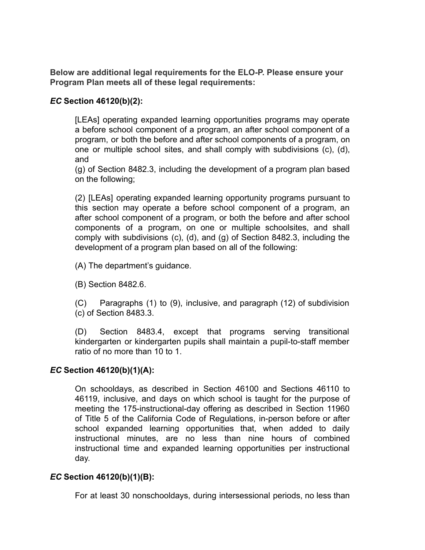**Below are additional legal requirements for the ELO-P. Please ensure your Program Plan meets all of these legal requirements:**

#### *EC* **Section 46120(b)(2):**

[LEAs] operating expanded learning opportunities programs may operate a before school component of a program, an after school component of a program, or both the before and after school components of a program, on one or multiple school sites, and shall comply with subdivisions (c), (d), and

(g) of Section 8482.3, including the development of a program plan based on the following;

(2) [LEAs] operating expanded learning opportunity programs pursuant to this section may operate a before school component of a program, an after school component of a program, or both the before and after school components of a program, on one or multiple schoolsites, and shall comply with subdivisions (c), (d), and (g) of Section 8482.3, including the development of a program plan based on all of the following:

(A) The department's guidance.

(B) Section 8482.6.

(C) Paragraphs (1) to (9), inclusive, and paragraph (12) of subdivision (c) of Section 8483.3.

(D) Section 8483.4, except that programs serving transitional kindergarten or kindergarten pupils shall maintain a pupil-to-staff member ratio of no more than 10 to 1.

#### *EC* **Section 46120(b)(1)(A):**

On schooldays, as described in Section 46100 and Sections 46110 to 46119, inclusive, and days on which school is taught for the purpose of meeting the 175-instructional-day offering as described in Section 11960 of Title 5 of the California Code of Regulations, in-person before or after school expanded learning opportunities that, when added to daily instructional minutes, are no less than nine hours of combined instructional time and expanded learning opportunities per instructional day.

# *EC* **Section 46120(b)(1)(B):**

For at least 30 nonschooldays, during intersessional periods, no less than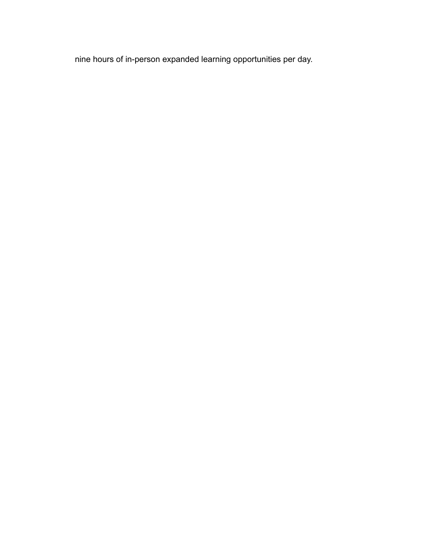nine hours of in-person expanded learning opportunities per day.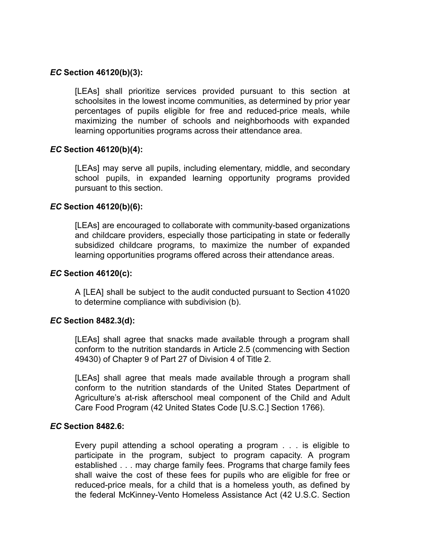#### *EC* **Section 46120(b)(3):**

[LEAs] shall prioritize services provided pursuant to this section at schoolsites in the lowest income communities, as determined by prior year percentages of pupils eligible for free and reduced-price meals, while maximizing the number of schools and neighborhoods with expanded learning opportunities programs across their attendance area.

#### *EC* **Section 46120(b)(4):**

[LEAs] may serve all pupils, including elementary, middle, and secondary school pupils, in expanded learning opportunity programs provided pursuant to this section.

#### *EC* **Section 46120(b)(6):**

[LEAs] are encouraged to collaborate with community-based organizations and childcare providers, especially those participating in state or federally subsidized childcare programs, to maximize the number of expanded learning opportunities programs offered across their attendance areas.

#### *EC* **Section 46120(c):**

A [LEA] shall be subject to the audit conducted pursuant to Section 41020 to determine compliance with subdivision (b).

#### *EC* **Section 8482.3(d):**

[LEAs] shall agree that snacks made available through a program shall conform to the nutrition standards in Article 2.5 (commencing with Section 49430) of Chapter 9 of Part 27 of Division 4 of Title 2.

[LEAs] shall agree that meals made available through a program shall conform to the nutrition standards of the United States Department of Agriculture's at-risk afterschool meal component of the Child and Adult Care Food Program (42 United States Code [U.S.C.] Section 1766).

#### *EC* **Section 8482.6:**

Every pupil attending a school operating a program . . . is eligible to participate in the program, subject to program capacity. A program established . . . may charge family fees. Programs that charge family fees shall waive the cost of these fees for pupils who are eligible for free or reduced-price meals, for a child that is a homeless youth, as defined by the federal McKinney-Vento Homeless Assistance Act (42 U.S.C. Section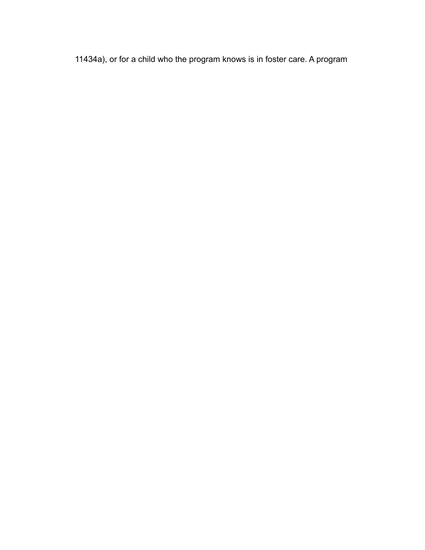11434a), or for a child who the program knows is in foster care. A program